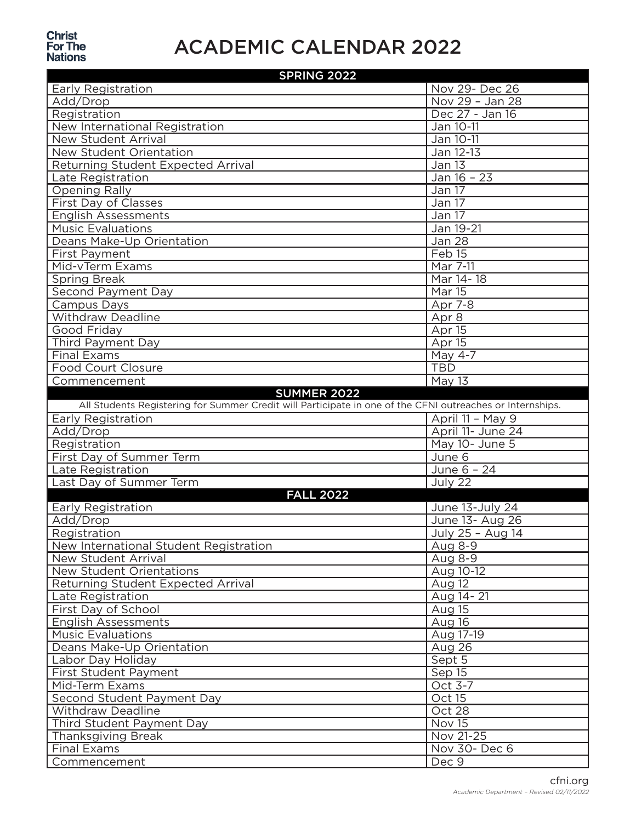## **Christ<br>For The<br>Nations**

## ACADEMIC CALENDAR 2022

| <b>SPRING 2022</b>                                                                                        |                        |
|-----------------------------------------------------------------------------------------------------------|------------------------|
| Early Registration                                                                                        | Nov 29- Dec 26         |
| Add/Drop                                                                                                  | Nov 29 - Jan 28        |
| Registration                                                                                              | Dec 27 - Jan 16        |
| New International Registration                                                                            | Jan 10-11              |
| New Student Arrival                                                                                       | Jan 10-11              |
| New Student Orientation                                                                                   | Jan 12-13              |
| Returning Student Expected Arrival                                                                        | <b>Jan 13</b>          |
| Late Registration                                                                                         | Jan 16 - 23            |
| <b>Opening Rally</b>                                                                                      | Jan 17                 |
| First Day of Classes                                                                                      | Jan 17                 |
| <b>English Assessments</b>                                                                                | Jan 17                 |
| <b>Music Evaluations</b>                                                                                  | Jan 19-21              |
| Deans Make-Up Orientation                                                                                 | <b>Jan 28</b>          |
| First Payment                                                                                             | Feb <sub>15</sub>      |
| Mid-vTerm Exams                                                                                           | Mar 7-11               |
| <b>Spring Break</b>                                                                                       | Mar 14 - 18            |
| <b>Second Payment Day</b>                                                                                 | <b>Mar 15</b>          |
| Campus Days                                                                                               | Apr 7-8                |
| <b>Withdraw Deadline</b>                                                                                  | Apr 8                  |
| <b>Good Friday</b>                                                                                        | Apr 15                 |
| Third Payment Day                                                                                         | Apr 15                 |
| <b>Final Exams</b>                                                                                        | May $4-7$              |
| <b>Food Court Closure</b>                                                                                 | <b>TBD</b>             |
| Commencement                                                                                              | May 13                 |
| <b>SUMMER 2022</b>                                                                                        |                        |
| All Students Registering for Summer Credit will Participate in one of the CFNI outreaches or Internships. |                        |
|                                                                                                           |                        |
| Early Registration                                                                                        | April 11 - May 9       |
| Add/Drop                                                                                                  | April 11- June 24      |
| Registration                                                                                              | May 10- June 5         |
| First Day of Summer Term                                                                                  | June 6                 |
| Late Registration                                                                                         | June 6 - 24            |
| Last Day of Summer Term                                                                                   | July 22                |
| <b>FALL 2022</b>                                                                                          |                        |
| Early Registration                                                                                        | June 13-July 24        |
| Add/Drop                                                                                                  | June 13- Aug 26        |
| Registration                                                                                              | July 25 - Aug 14       |
| New International Student Registration                                                                    | Aug 8-9                |
| New Student Arrival                                                                                       | Aug 8-9                |
| New Student Orientations                                                                                  | Aug 10-12              |
| Returning Student Expected Arrival                                                                        | Aug 12                 |
| Late Registration                                                                                         | Aug 14 - 21            |
| First Day of School                                                                                       | Aug 15                 |
| <b>English Assessments</b>                                                                                | Aug 16                 |
| Music Evaluations                                                                                         | Aug 17-19              |
| Deans Make-Up Orientation                                                                                 | Aug 26                 |
| Labor Day Holiday                                                                                         | Sept 5                 |
| First Student Payment                                                                                     | Sep 15                 |
| Mid-Term Exams                                                                                            | Oct 3-7                |
| Second Student Payment Day                                                                                | Oct 15                 |
| <b>Withdraw Deadline</b>                                                                                  | Oct 28                 |
| Third Student Payment Day                                                                                 | Nov 15                 |
| <b>Thanksgiving Break</b>                                                                                 | Nov 21-25              |
| <b>Final Exams</b><br>Commencement                                                                        | Nov 30- Dec 6<br>Dec 9 |